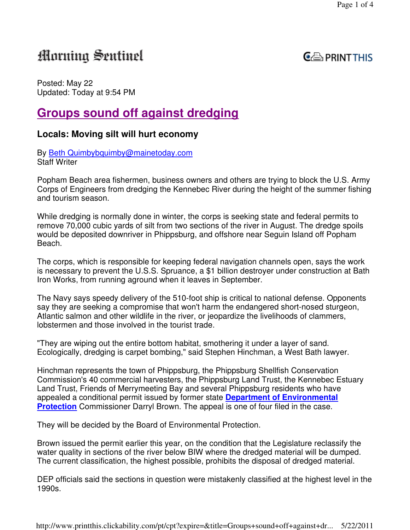# Morning Sentinel

## **PRINT THIS**

Posted: May 22 Updated: Today at 9:54 PM

# **Groups sound off against dredging**

## **Locals: Moving silt will hurt economy**

By Beth Quimbybquimby@mainetoday.com Staff Writer

Popham Beach area fishermen, business owners and others are trying to block the U.S. Army Corps of Engineers from dredging the Kennebec River during the height of the summer fishing and tourism season.

While dredging is normally done in winter, the corps is seeking state and federal permits to remove 70,000 cubic yards of silt from two sections of the river in August. The dredge spoils would be deposited downriver in Phippsburg, and offshore near Seguin Island off Popham Beach.

The corps, which is responsible for keeping federal navigation channels open, says the work is necessary to prevent the U.S.S. Spruance, a \$1 billion destroyer under construction at Bath Iron Works, from running aground when it leaves in September.

The Navy says speedy delivery of the 510-foot ship is critical to national defense. Opponents say they are seeking a compromise that won't harm the endangered short-nosed sturgeon, Atlantic salmon and other wildlife in the river, or jeopardize the livelihoods of clammers, lobstermen and those involved in the tourist trade.

"They are wiping out the entire bottom habitat, smothering it under a layer of sand. Ecologically, dredging is carpet bombing," said Stephen Hinchman, a West Bath lawyer.

Hinchman represents the town of Phippsburg, the Phippsburg Shellfish Conservation Commission's 40 commercial harvesters, the Phippsburg Land Trust, the Kennebec Estuary Land Trust, Friends of Merrymeeting Bay and several Phippsburg residents who have appealed a conditional permit issued by former state **Department of Environmental Protection** Commissioner Darryl Brown. The appeal is one of four filed in the case.

They will be decided by the Board of Environmental Protection.

Brown issued the permit earlier this year, on the condition that the Legislature reclassify the water quality in sections of the river below BIW where the dredged material will be dumped. The current classification, the highest possible, prohibits the disposal of dredged material.

DEP officials said the sections in question were mistakenly classified at the highest level in the 1990s.

http://www.printthis.clickability.com/pt/cpt?expire=&title=Groups+sound+off+against+dr... 5/22/2011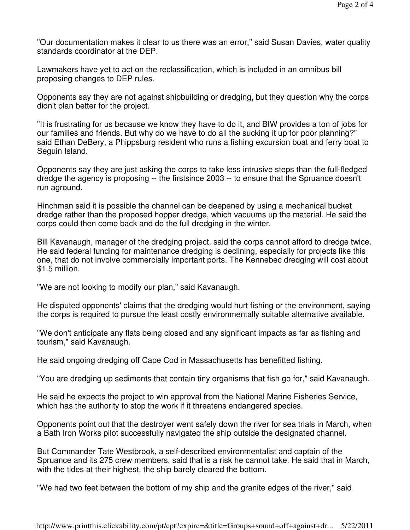"Our documentation makes it clear to us there was an error," said Susan Davies, water quality standards coordinator at the DEP.

Lawmakers have yet to act on the reclassification, which is included in an omnibus bill proposing changes to DEP rules.

Opponents say they are not against shipbuilding or dredging, but they question why the corps didn't plan better for the project.

"It is frustrating for us because we know they have to do it, and BIW provides a ton of jobs for our families and friends. But why do we have to do all the sucking it up for poor planning?" said Ethan DeBery, a Phippsburg resident who runs a fishing excursion boat and ferry boat to Seguin Island.

Opponents say they are just asking the corps to take less intrusive steps than the full-fledged dredge the agency is proposing -- the firstsince 2003 -- to ensure that the Spruance doesn't run aground.

Hinchman said it is possible the channel can be deepened by using a mechanical bucket dredge rather than the proposed hopper dredge, which vacuums up the material. He said the corps could then come back and do the full dredging in the winter.

Bill Kavanaugh, manager of the dredging project, said the corps cannot afford to dredge twice. He said federal funding for maintenance dredging is declining, especially for projects like this one, that do not involve commercially important ports. The Kennebec dredging will cost about \$1.5 million.

"We are not looking to modify our plan," said Kavanaugh.

He disputed opponents' claims that the dredging would hurt fishing or the environment, saying the corps is required to pursue the least costly environmentally suitable alternative available.

"We don't anticipate any flats being closed and any significant impacts as far as fishing and tourism," said Kavanaugh.

He said ongoing dredging off Cape Cod in Massachusetts has benefitted fishing.

"You are dredging up sediments that contain tiny organisms that fish go for," said Kavanaugh.

He said he expects the project to win approval from the National Marine Fisheries Service, which has the authority to stop the work if it threatens endangered species.

Opponents point out that the destroyer went safely down the river for sea trials in March, when a Bath Iron Works pilot successfully navigated the ship outside the designated channel.

But Commander Tate Westbrook, a self-described environmentalist and captain of the Spruance and its 275 crew members, said that is a risk he cannot take. He said that in March, with the tides at their highest, the ship barely cleared the bottom.

"We had two feet between the bottom of my ship and the granite edges of the river," said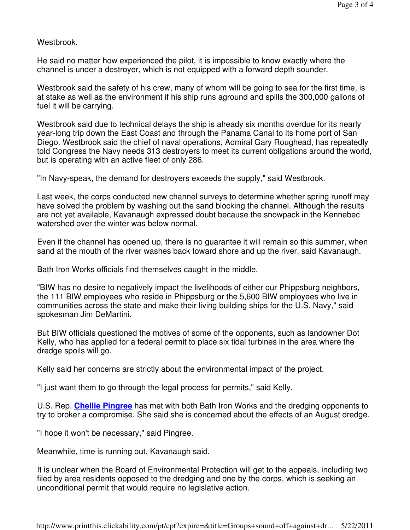Westbrook.

He said no matter how experienced the pilot, it is impossible to know exactly where the channel is under a destroyer, which is not equipped with a forward depth sounder.

Westbrook said the safety of his crew, many of whom will be going to sea for the first time, is at stake as well as the environment if his ship runs aground and spills the 300,000 gallons of fuel it will be carrying.

Westbrook said due to technical delays the ship is already six months overdue for its nearly year-long trip down the East Coast and through the Panama Canal to its home port of San Diego. Westbrook said the chief of naval operations, Admiral Gary Roughead, has repeatedly told Congress the Navy needs 313 destroyers to meet its current obligations around the world, but is operating with an active fleet of only 286.

"In Navy-speak, the demand for destroyers exceeds the supply," said Westbrook.

Last week, the corps conducted new channel surveys to determine whether spring runoff may have solved the problem by washing out the sand blocking the channel. Although the results are not yet available, Kavanaugh expressed doubt because the snowpack in the Kennebec watershed over the winter was below normal.

Even if the channel has opened up, there is no guarantee it will remain so this summer, when sand at the mouth of the river washes back toward shore and up the river, said Kavanaugh.

Bath Iron Works officials find themselves caught in the middle.

"BIW has no desire to negatively impact the livelihoods of either our Phippsburg neighbors, the 111 BIW employees who reside in Phippsburg or the 5,600 BIW employees who live in communities across the state and make their living building ships for the U.S. Navy," said spokesman Jim DeMartini.

But BIW officials questioned the motives of some of the opponents, such as landowner Dot Kelly, who has applied for a federal permit to place six tidal turbines in the area where the dredge spoils will go.

Kelly said her concerns are strictly about the environmental impact of the project.

"I just want them to go through the legal process for permits," said Kelly.

U.S. Rep. **Chellie Pingree** has met with both Bath Iron Works and the dredging opponents to try to broker a compromise. She said she is concerned about the effects of an August dredge.

"I hope it won't be necessary," said Pingree.

Meanwhile, time is running out, Kavanaugh said.

It is unclear when the Board of Environmental Protection will get to the appeals, including two filed by area residents opposed to the dredging and one by the corps, which is seeking an unconditional permit that would require no legislative action.